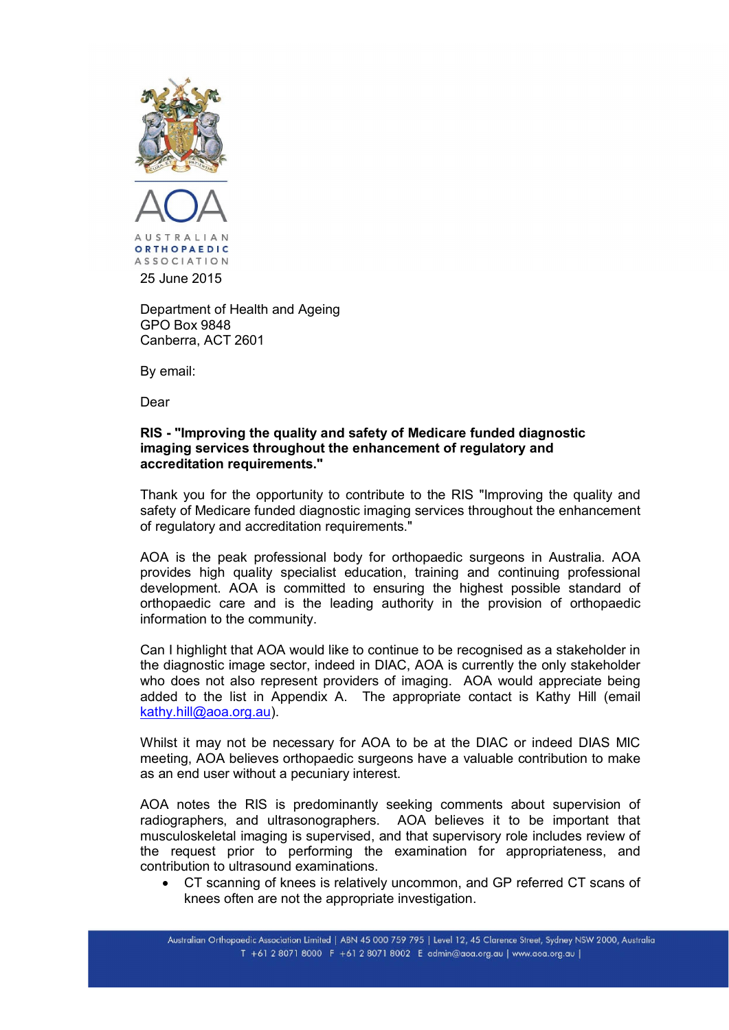

Department of Health and Ageing GPO Box 9848 Canberra, ACT 2601

By email:

Dear

### **RIS - "Improving the quality and safety of Medicare funded diagnostic imaging services throughout the enhancement of regulatory and accreditation requirements."**

Thank you for the opportunity to contribute to the RIS "Improving the quality and safety of Medicare funded diagnostic imaging services throughout the enhancement of regulatory and accreditation requirements."

AOA is the peak professional body for orthopaedic surgeons in Australia. AOA provides high quality specialist education, training and continuing professional development. AOA is committed to ensuring the highest possible standard of orthopaedic care and is the leading authority in the provision of orthopaedic information to the community.

Can I highlight that AOA would like to continue to be recognised as a stakeholder in the diagnostic image sector, indeed in DIAC, AOA is currently the only stakeholder who does not also represent providers of imaging. AOA would appreciate being added to the list in Appendix A. The appropriate contact is Kathy Hill (email kathy.hill@aoa.org.au).

Whilst it may not be necessary for AOA to be at the DIAC or indeed DIAS MIC meeting, AOA believes orthopaedic surgeons have a valuable contribution to make as an end user without a pecuniary interest.

AOA notes the RIS is predominantly seeking comments about supervision of radiographers, and ultrasonographers. AOA believes it to be important that musculoskeletal imaging is supervised, and that supervisory role includes review of the request prior to performing the examination for appropriateness, and contribution to ultrasound examinations.

 CT scanning of knees is relatively uncommon, and GP referred CT scans of knees often are not the appropriate investigation.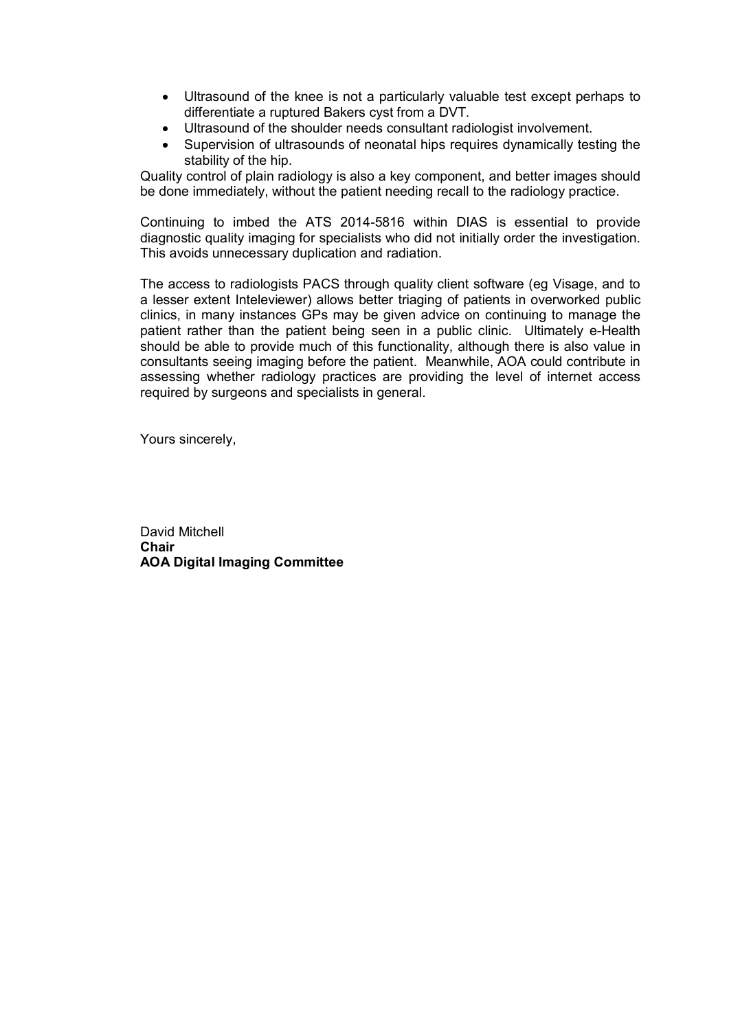- Ultrasound of the knee is not a particularly valuable test except perhaps to differentiate a ruptured Bakers cyst from a DVT.
- Ultrasound of the shoulder needs consultant radiologist involvement.
- Supervision of ultrasounds of neonatal hips requires dynamically testing the stability of the hip.

Quality control of plain radiology is also a key component, and better images should be done immediately, without the patient needing recall to the radiology practice.

Continuing to imbed the ATS 2014-5816 within DIAS is essential to provide diagnostic quality imaging for specialists who did not initially order the investigation. This avoids unnecessary duplication and radiation.

The access to radiologists PACS through quality client software (eg Visage, and to a lesser extent Inteleviewer) allows better triaging of patients in overworked public clinics, in many instances GPs may be given advice on continuing to manage the patient rather than the patient being seen in a public clinic. Ultimately e-Health should be able to provide much of this functionality, although there is also value in consultants seeing imaging before the patient. Meanwhile, AOA could contribute in assessing whether radiology practices are providing the level of internet access required by surgeons and specialists in general.

Yours sincerely,

David Mitchell **Chair AOA Digital Imaging Committee**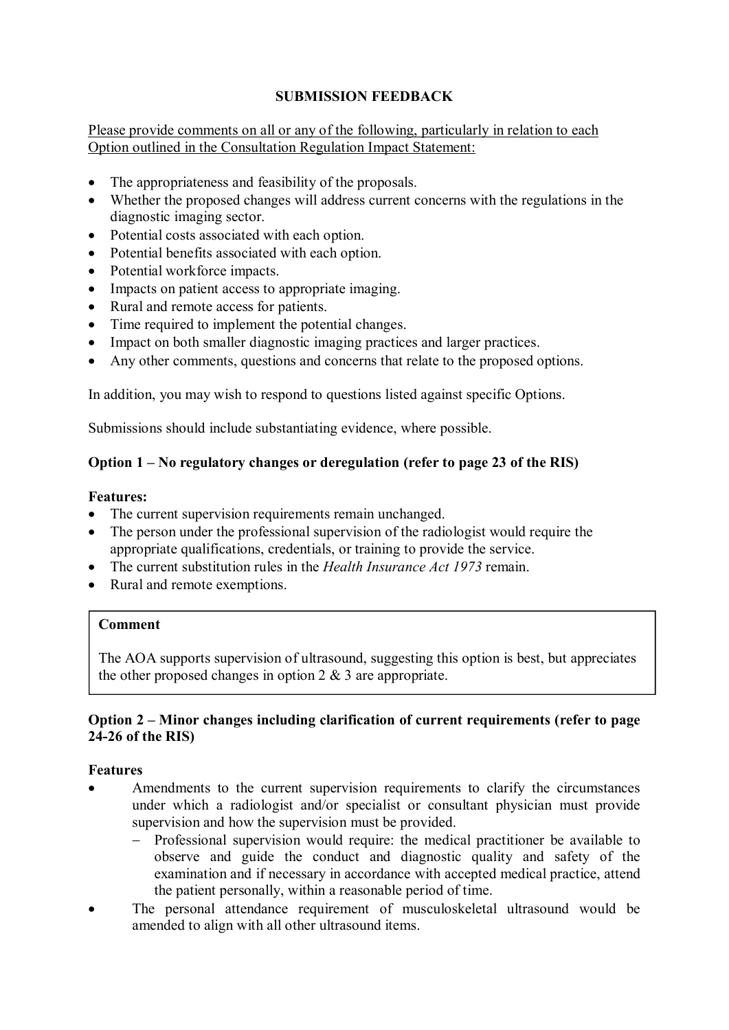## **SUBMISSION FEEDBACK**

Please provide comments on all or any of the following, particularly in relation to each Option outlined in the Consultation Regulation Impact Statement:

- The appropriateness and feasibility of the proposals.
- Whether the proposed changes will address current concerns with the regulations in the diagnostic imaging sector.
- Potential costs associated with each option.
- Potential benefits associated with each option.
- Potential workforce impacts.
- Impacts on patient access to appropriate imaging.
- Rural and remote access for patients.
- Time required to implement the potential changes.
- Impact on both smaller diagnostic imaging practices and larger practices.
- Any other comments, questions and concerns that relate to the proposed options.

In addition, you may wish to respond to questions listed against specific Options.

Submissions should include substantiating evidence, where possible.

### **Option 1 – No regulatory changes or deregulation (refer to page 23 of the RIS)**

### **Features:**

- The current supervision requirements remain unchanged.
- The person under the professional supervision of the radiologist would require the appropriate qualifications, credentials, or training to provide the service.
- The current substitution rules in the *Health Insurance Act 1973* remain.
- Rural and remote exemptions.

### **Comment**

The AOA supports supervision of ultrasound, suggesting this option is best, but appreciates the other proposed changes in option  $2 \& 3$  are appropriate.

### **Option 2 – Minor changes including clarification of current requirements (refer to page 24-26 of the RIS)**

### **Features**

- Amendments to the current supervision requirements to clarify the circumstances under which a radiologist and/or specialist or consultant physician must provide supervision and how the supervision must be provided.
	- Professional supervision would require: the medical practitioner be available to observe and guide the conduct and diagnostic quality and safety of the examination and if necessary in accordance with accepted medical practice, attend the patient personally, within a reasonable period of time.
- The personal attendance requirement of musculoskeletal ultrasound would be amended to align with all other ultrasound items.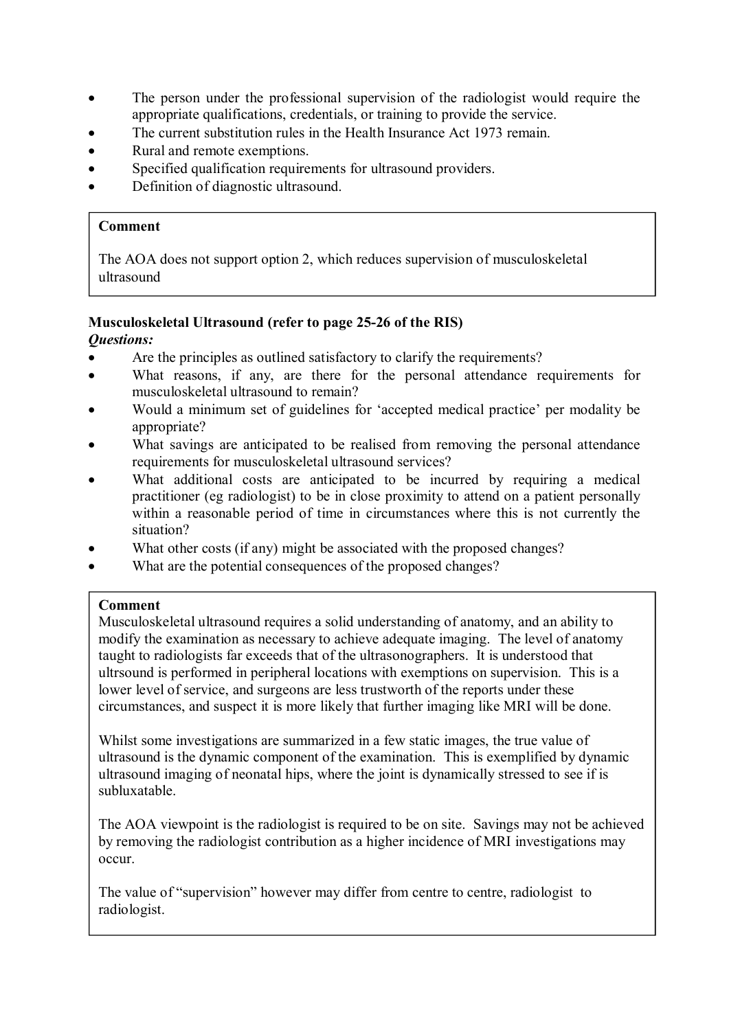- The person under the professional supervision of the radiologist would require the appropriate qualifications, credentials, or training to provide the service.
- The current substitution rules in the Health Insurance Act 1973 remain.
- Rural and remote exemptions.
- Specified qualification requirements for ultrasound providers.
- Definition of diagnostic ultrasound.

### **Comment**

The AOA does not support option 2, which reduces supervision of musculoskeletal ultrasound

# **Musculoskeletal Ultrasound (refer to page 25-26 of the RIS)**

### *Questions:*

- Are the principles as outlined satisfactory to clarify the requirements?
- What reasons, if any, are there for the personal attendance requirements for musculoskeletal ultrasound to remain?
- Would a minimum set of guidelines for 'accepted medical practice' per modality be appropriate?
- What savings are anticipated to be realised from removing the personal attendance requirements for musculoskeletal ultrasound services?
- What additional costs are anticipated to be incurred by requiring a medical practitioner (eg radiologist) to be in close proximity to attend on a patient personally within a reasonable period of time in circumstances where this is not currently the situation?
- What other costs (if any) might be associated with the proposed changes?
- What are the potential consequences of the proposed changes?

### **Comment**

Musculoskeletal ultrasound requires a solid understanding of anatomy, and an ability to modify the examination as necessary to achieve adequate imaging. The level of anatomy taught to radiologists far exceeds that of the ultrasonographers. It is understood that ultrsound is performed in peripheral locations with exemptions on supervision. This is a lower level of service, and surgeons are less trustworth of the reports under these circumstances, and suspect it is more likely that further imaging like MRI will be done.

Whilst some investigations are summarized in a few static images, the true value of ultrasound is the dynamic component of the examination. This is exemplified by dynamic ultrasound imaging of neonatal hips, where the joint is dynamically stressed to see if is subluxatable.

The AOA viewpoint is the radiologist is required to be on site. Savings may not be achieved by removing the radiologist contribution as a higher incidence of MRI investigations may occur.

The value of "supervision" however may differ from centre to centre, radiologist to radiologist.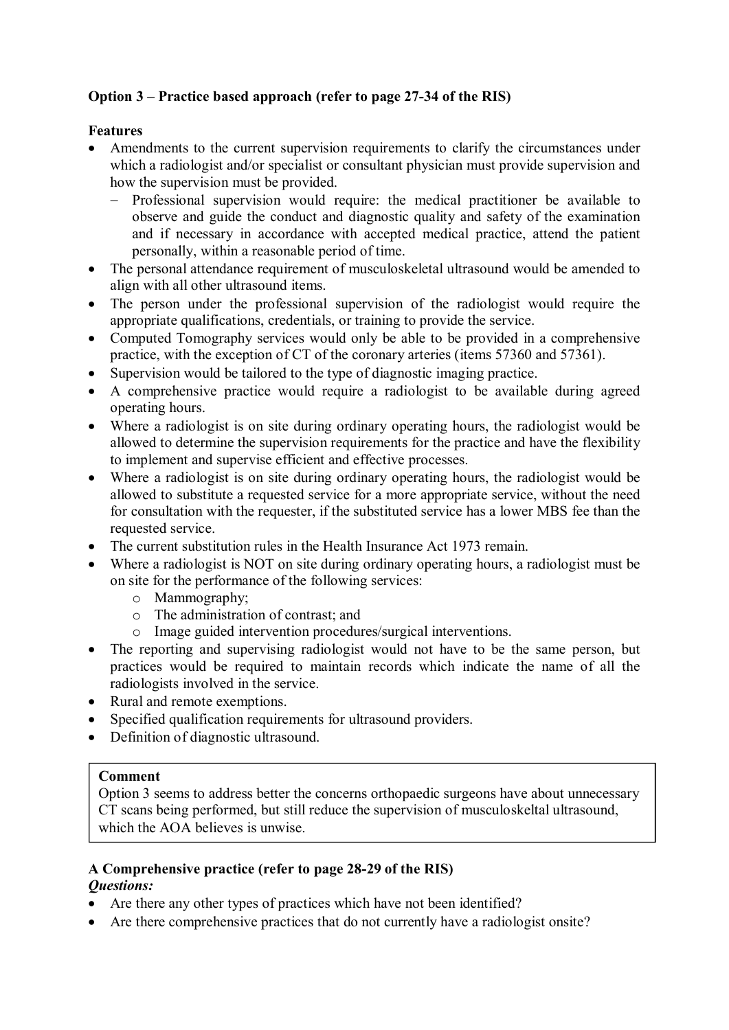## **Option 3 – Practice based approach (refer to page 27-34 of the RIS)**

### **Features**

- Amendments to the current supervision requirements to clarify the circumstances under which a radiologist and/or specialist or consultant physician must provide supervision and how the supervision must be provided.
	- Professional supervision would require: the medical practitioner be available to observe and guide the conduct and diagnostic quality and safety of the examination and if necessary in accordance with accepted medical practice, attend the patient personally, within a reasonable period of time.
- The personal attendance requirement of musculoskeletal ultrasound would be amended to align with all other ultrasound items.
- The person under the professional supervision of the radiologist would require the appropriate qualifications, credentials, or training to provide the service.
- Computed Tomography services would only be able to be provided in a comprehensive practice, with the exception of CT of the coronary arteries (items 57360 and 57361).
- Supervision would be tailored to the type of diagnostic imaging practice.
- A comprehensive practice would require a radiologist to be available during agreed operating hours.
- Where a radiologist is on site during ordinary operating hours, the radiologist would be allowed to determine the supervision requirements for the practice and have the flexibility to implement and supervise efficient and effective processes.
- Where a radiologist is on site during ordinary operating hours, the radiologist would be allowed to substitute a requested service for a more appropriate service, without the need for consultation with the requester, if the substituted service has a lower MBS fee than the requested service.
- The current substitution rules in the Health Insurance Act 1973 remain.
- Where a radiologist is NOT on site during ordinary operating hours, a radiologist must be on site for the performance of the following services:
	- o Mammography;
	- o The administration of contrast; and
	- o Image guided intervention procedures/surgical interventions.
- The reporting and supervising radiologist would not have to be the same person, but practices would be required to maintain records which indicate the name of all the radiologists involved in the service.
- Rural and remote exemptions.
- Specified qualification requirements for ultrasound providers.
- Definition of diagnostic ultrasound.

### **Comment**

Option 3 seems to address better the concerns orthopaedic surgeons have about unnecessary CT scans being performed, but still reduce the supervision of musculoskeltal ultrasound, which the AOA believes is unwise.

## **A Comprehensive practice (refer to page 28-29 of the RIS)**

## *Questions:*

- Are there any other types of practices which have not been identified?
- Are there comprehensive practices that do not currently have a radiologist onsite?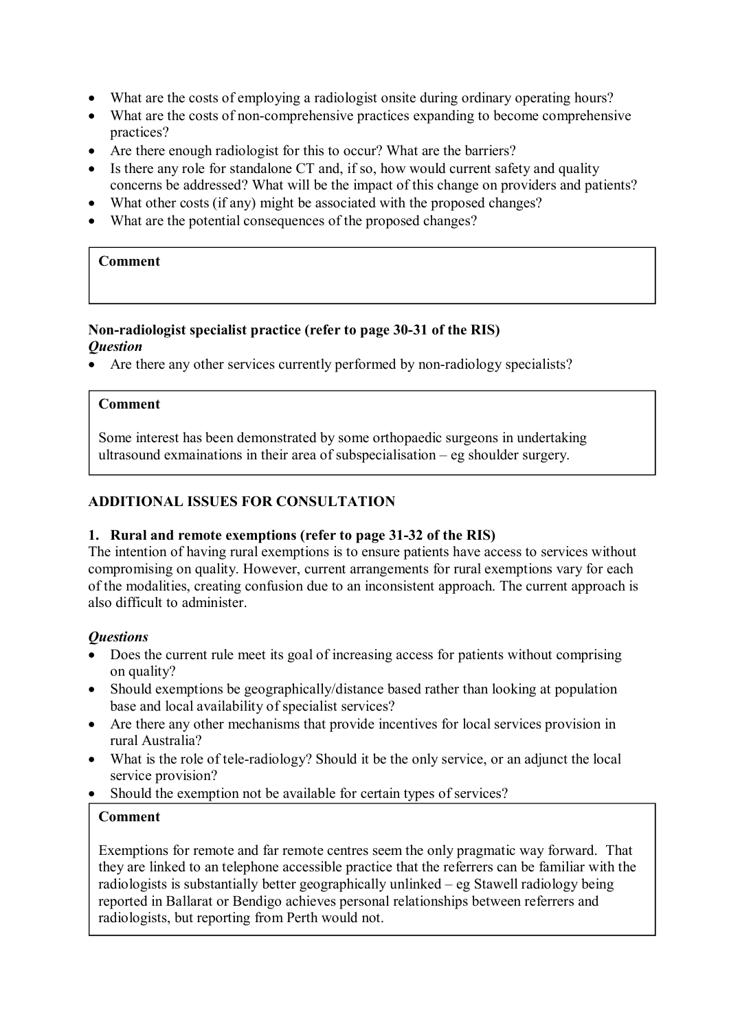- What are the costs of employing a radiologist onsite during ordinary operating hours?
- What are the costs of non-comprehensive practices expanding to become comprehensive practices?
- Are there enough radiologist for this to occur? What are the barriers?
- Is there any role for standalone CT and, if so, how would current safety and quality concerns be addressed? What will be the impact of this change on providers and patients?
- What other costs (if any) might be associated with the proposed changes?
- What are the potential consequences of the proposed changes?

### **Comment**

### **Non-radiologist specialist practice (refer to page 30-31 of the RIS)**  *Question*

• Are there any other services currently performed by non-radiology specialists?

### **Comment**

Some interest has been demonstrated by some orthopaedic surgeons in undertaking ultrasound exmainations in their area of subspecialisation – eg shoulder surgery.

### **ADDITIONAL ISSUES FOR CONSULTATION**

### **1. Rural and remote exemptions (refer to page 31-32 of the RIS)**

The intention of having rural exemptions is to ensure patients have access to services without compromising on quality. However, current arrangements for rural exemptions vary for each of the modalities, creating confusion due to an inconsistent approach. The current approach is also difficult to administer.

### *Questions*

- Does the current rule meet its goal of increasing access for patients without comprising on quality?
- Should exemptions be geographically/distance based rather than looking at population base and local availability of specialist services?
- Are there any other mechanisms that provide incentives for local services provision in rural Australia?
- What is the role of tele-radiology? Should it be the only service, or an adjunct the local service provision?
- Should the exemption not be available for certain types of services?

### **Comment**

Exemptions for remote and far remote centres seem the only pragmatic way forward. That they are linked to an telephone accessible practice that the referrers can be familiar with the radiologists is substantially better geographically unlinked – eg Stawell radiology being reported in Ballarat or Bendigo achieves personal relationships between referrers and radiologists, but reporting from Perth would not.